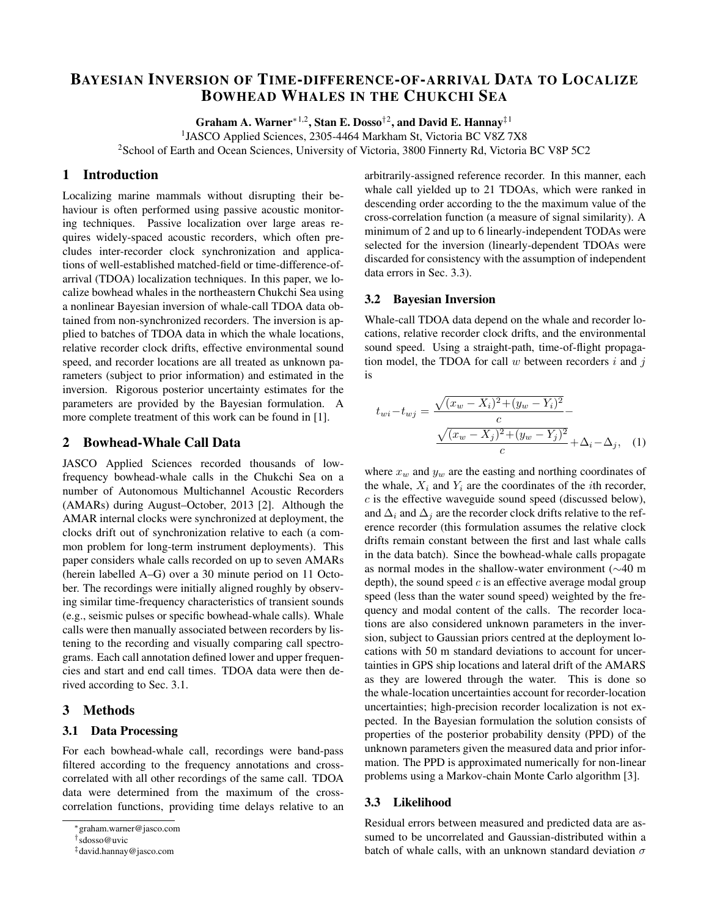# BAYESIAN INVERSION OF TIME-DIFFERENCE-OF-ARRIVAL DATA TO LOCALIZE BOWHEAD WHALES IN THE CHUKCHI SEA

Graham A. Warner<sup>\*1,2</sup>, Stan E. Dosso<sup>†2</sup>, and David E. Hannay<sup>‡1</sup>

<sup>1</sup>JASCO Applied Sciences, 2305-4464 Markham St, Victoria BC V8Z 7X8 <sup>2</sup>School of Earth and Ocean Sciences, University of Victoria, 3800 Finnerty Rd, Victoria BC V8P 5C2

## 1 Introduction

Localizing marine mammals without disrupting their behaviour is often performed using passive acoustic monitoring techniques. Passive localization over large areas requires widely-spaced acoustic recorders, which often precludes inter-recorder clock synchronization and applications of well-established matched-field or time-difference-ofarrival (TDOA) localization techniques. In this paper, we localize bowhead whales in the northeastern Chukchi Sea using a nonlinear Bayesian inversion of whale-call TDOA data obtained from non-synchronized recorders. The inversion is applied to batches of TDOA data in which the whale locations, relative recorder clock drifts, effective environmental sound speed, and recorder locations are all treated as unknown parameters (subject to prior information) and estimated in the inversion. Rigorous posterior uncertainty estimates for the parameters are provided by the Bayesian formulation. A more complete treatment of this work can be found in [1].

#### 2 Bowhead-Whale Call Data

JASCO Applied Sciences recorded thousands of lowfrequency bowhead-whale calls in the Chukchi Sea on a number of Autonomous Multichannel Acoustic Recorders (AMARs) during August–October, 2013 [2]. Although the AMAR internal clocks were synchronized at deployment, the clocks drift out of synchronization relative to each (a common problem for long-term instrument deployments). This paper considers whale calls recorded on up to seven AMARs (herein labelled A–G) over a 30 minute period on 11 October. The recordings were initially aligned roughly by observing similar time-frequency characteristics of transient sounds (e.g., seismic pulses or specific bowhead-whale calls). Whale calls were then manually associated between recorders by listening to the recording and visually comparing call spectrograms. Each call annotation defined lower and upper frequencies and start and end call times. TDOA data were then derived according to Sec. 3.1.

#### 3 Methods

#### 3.1 Data Processing

For each bowhead-whale call, recordings were band-pass filtered according to the frequency annotations and crosscorrelated with all other recordings of the same call. TDOA data were determined from the maximum of the crosscorrelation functions, providing time delays relative to an arbitrarily-assigned reference recorder. In this manner, each whale call yielded up to 21 TDOAs, which were ranked in descending order according to the the maximum value of the cross-correlation function (a measure of signal similarity). A minimum of 2 and up to 6 linearly-independent TODAs were selected for the inversion (linearly-dependent TDOAs were discarded for consistency with the assumption of independent data errors in Sec. 3.3).

#### 3.2 Bayesian Inversion

Whale-call TDOA data depend on the whale and recorder locations, relative recorder clock drifts, and the environmental sound speed. Using a straight-path, time-of-flight propagation model, the TDOA for call  $w$  between recorders  $i$  and  $j$ is

$$
t_{wi} - t_{wj} = \frac{\sqrt{(x_w - X_i)^2 + (y_w - Y_i)^2}}{c} - \frac{\sqrt{(x_w - X_j)^2 + (y_w - Y_j)^2}}{c} + \Delta_i - \Delta_j, \quad (1)
$$

where  $x_w$  and  $y_w$  are the easting and northing coordinates of the whale,  $X_i$  and  $Y_i$  are the coordinates of the *i*th recorder,  $c$  is the effective waveguide sound speed (discussed below), and  $\Delta_i$  and  $\Delta_j$  are the recorder clock drifts relative to the reference recorder (this formulation assumes the relative clock drifts remain constant between the first and last whale calls in the data batch). Since the bowhead-whale calls propagate as normal modes in the shallow-water environment (∼40 m depth), the sound speed  $c$  is an effective average modal group speed (less than the water sound speed) weighted by the frequency and modal content of the calls. The recorder locations are also considered unknown parameters in the inversion, subject to Gaussian priors centred at the deployment locations with 50 m standard deviations to account for uncertainties in GPS ship locations and lateral drift of the AMARS as they are lowered through the water. This is done so the whale-location uncertainties account for recorder-location uncertainties; high-precision recorder localization is not expected. In the Bayesian formulation the solution consists of properties of the posterior probability density (PPD) of the unknown parameters given the measured data and prior information. The PPD is approximated numerically for non-linear problems using a Markov-chain Monte Carlo algorithm [3].

## 3.3 Likelihood

Residual errors between measured and predicted data are assumed to be uncorrelated and Gaussian-distributed within a batch of whale calls, with an unknown standard deviation  $\sigma$ 

<sup>∗</sup>graham.warner@jasco.com

<sup>†</sup>sdosso@uvic

<sup>‡</sup>david.hannay@jasco.com